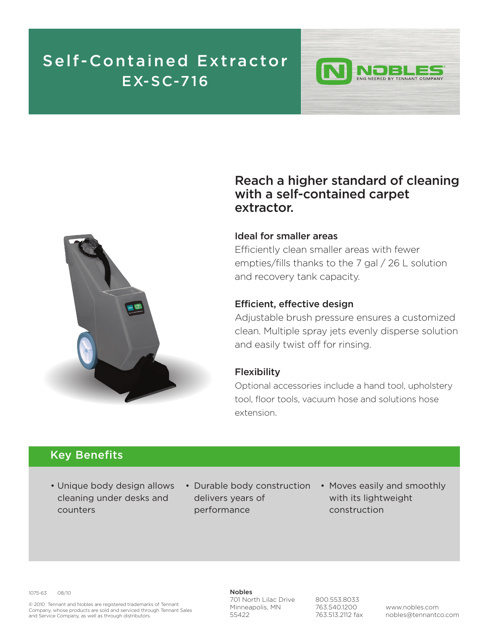## **Self -Contained Ext ractor EX-SC-716**



### **Reach a higher standard of cleaning with a self-contained carpet extractor.**

ING NEERED BY TENNANT COMPANY

#### **Ideal for smaller areas**

Efficiently clean smaller areas with fewer empties/fills thanks to the 7 gal / 26 L solution and recovery tank capacity.

#### **Efficient, effective design**

Adjustable brush pressure ensures a customized clean. Multiple spray jets evenly disperse solution and easily twist off for rinsing.

#### **Flexibility**

Optional accessories include a hand tool, upholstery tool, floor tools, vacuum hose and solutions hose extension.

### **Key Benefits**

- Unique body design allows cleaning under desks and counters
- Durable body construction Moves easily and smoothly delivers years of performance
	- with its lightweight construction

1075-63 08/10

© 2010 Tennant and Nobles are registered trademarks of Tennant Company, whose products are sold and serviced through Tennant Sales and Service Company, as well as through distributors.

**Nobles** 701 North Lilac Drive Minneapolis, MN 55422

800.553.8033 763.540.1200 763.513.2112 fax

www.nobles.com nobles@tennantco.com